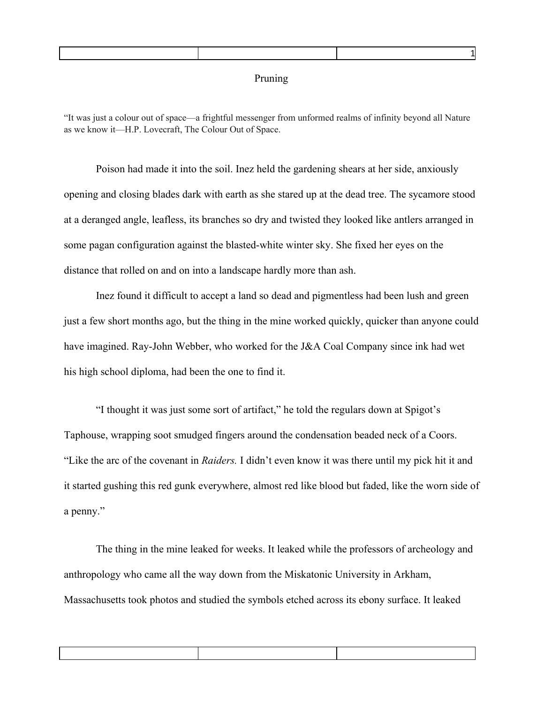## Pruning

1

"It was just a colour out of space—a frightful messenger from unformed realms of infinity beyond all Nature as we know it—H.P. Lovecraft, The Colour Out of Space.

Poison had made it into the soil. Inez held the gardening shears at her side, anxiously opening and closing blades dark with earth as she stared up at the dead tree. The sycamore stood at a deranged angle, leafless, its branches so dry and twisted they looked like antlers arranged in some pagan configuration against the blasted-white winter sky. She fixed her eyes on the distance that rolled on and on into a landscape hardly more than ash.

Inez found it difficult to accept a land so dead and pigmentless had been lush and green just a few short months ago, but the thing in the mine worked quickly, quicker than anyone could have imagined. Ray-John Webber, who worked for the J&A Coal Company since ink had wet his high school diploma, had been the one to find it.

"I thought it was just some sort of artifact," he told the regulars down at Spigot's Taphouse, wrapping soot smudged fingers around the condensation beaded neck of a Coors. "Like the arc of the covenant in *Raiders.* I didn't even know it was there until my pick hit it and it started gushing this red gunk everywhere, almost red like blood but faded, like the worn side of a penny."

The thing in the mine leaked for weeks. It leaked while the professors of archeology and anthropology who came all the way down from the Miskatonic University in Arkham, Massachusetts took photos and studied the symbols etched across its ebony surface. It leaked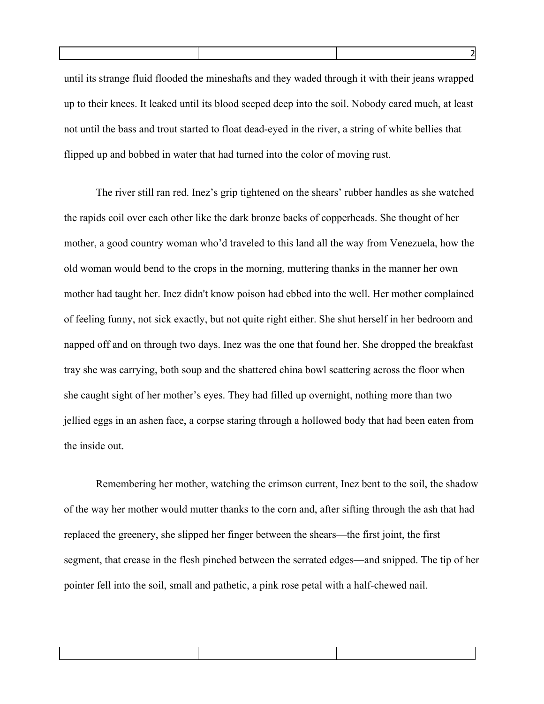until its strange fluid flooded the mineshafts and they waded through it with their jeans wrapped up to their knees. It leaked until its blood seeped deep into the soil. Nobody cared much, at least not until the bass and trout started to float dead-eyed in the river, a string of white bellies that flipped up and bobbed in water that had turned into the color of moving rust.

The river still ran red. Inez's grip tightened on the shears' rubber handles as she watched the rapids coil over each other like the dark bronze backs of copperheads. She thought of her mother, a good country woman who'd traveled to this land all the way from Venezuela, how the old woman would bend to the crops in the morning, muttering thanks in the manner her own mother had taught her. Inez didn't know poison had ebbed into the well. Her mother complained of feeling funny, not sick exactly, but not quite right either. She shut herself in her bedroom and napped off and on through two days. Inez was the one that found her. She dropped the breakfast tray she was carrying, both soup and the shattered china bowl scattering across the floor when she caught sight of her mother's eyes. They had filled up overnight, nothing more than two jellied eggs in an ashen face, a corpse staring through a hollowed body that had been eaten from the inside out.

Remembering her mother, watching the crimson current, Inez bent to the soil, the shadow of the way her mother would mutter thanks to the corn and, after sifting through the ash that had replaced the greenery, she slipped her finger between the shears—the first joint, the first segment, that crease in the flesh pinched between the serrated edges—and snipped. The tip of her pointer fell into the soil, small and pathetic, a pink rose petal with a half-chewed nail.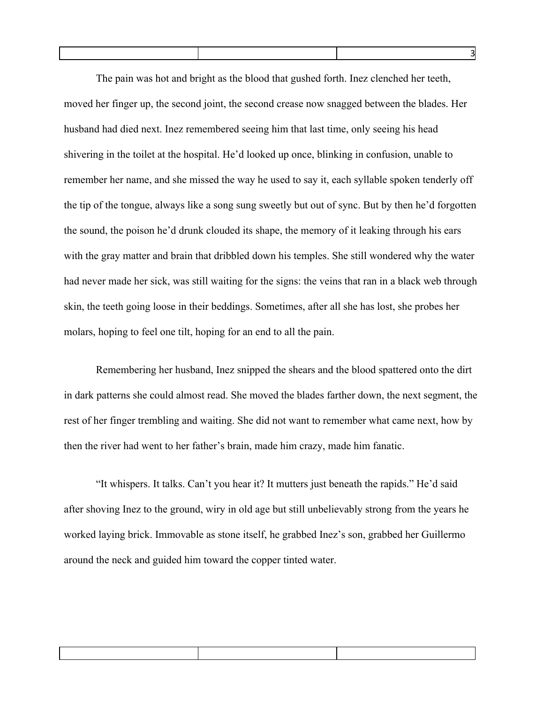The pain was hot and bright as the blood that gushed forth. Inez clenched her teeth, moved her finger up, the second joint, the second crease now snagged between the blades. Her husband had died next. Inez remembered seeing him that last time, only seeing his head shivering in the toilet at the hospital. He'd looked up once, blinking in confusion, unable to remember her name, and she missed the way he used to say it, each syllable spoken tenderly off the tip of the tongue, always like a song sung sweetly but out of sync. But by then he'd forgotten the sound, the poison he'd drunk clouded its shape, the memory of it leaking through his ears with the gray matter and brain that dribbled down his temples. She still wondered why the water had never made her sick, was still waiting for the signs: the veins that ran in a black web through skin, the teeth going loose in their beddings. Sometimes, after all she has lost, she probes her molars, hoping to feel one tilt, hoping for an end to all the pain.

Remembering her husband, Inez snipped the shears and the blood spattered onto the dirt in dark patterns she could almost read. She moved the blades farther down, the next segment, the rest of her finger trembling and waiting. She did not want to remember what came next, how by then the river had went to her father's brain, made him crazy, made him fanatic.

"It whispers. It talks. Can't you hear it? It mutters just beneath the rapids." He'd said after shoving Inez to the ground, wiry in old age but still unbelievably strong from the years he worked laying brick. Immovable as stone itself, he grabbed Inez's son, grabbed her Guillermo around the neck and guided him toward the copper tinted water.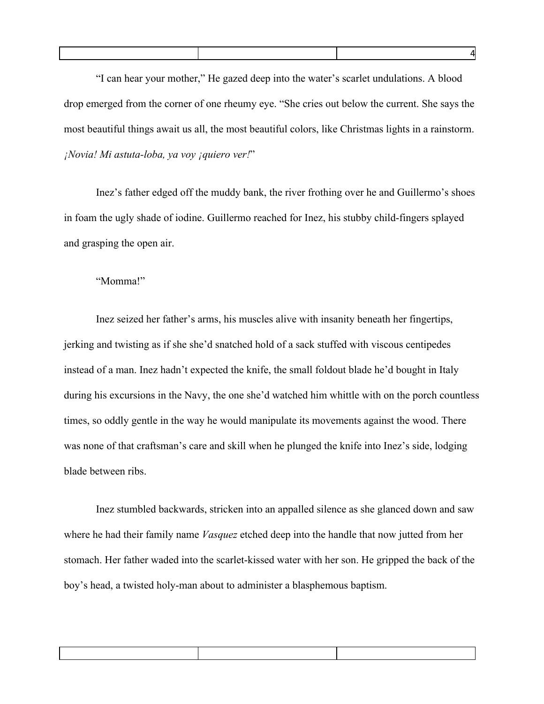"I can hear your mother," He gazed deep into the water's scarlet undulations. A blood drop emerged from the corner of one rheumy eye. "She cries out below the current. She says the most beautiful things await us all, the most beautiful colors, like Christmas lights in a rainstorm. *¡Novia! Mi astuta-loba, ya voy ¡quiero ver!*"

Inez's father edged off the muddy bank, the river frothing over he and Guillermo's shoes in foam the ugly shade of iodine. Guillermo reached for Inez, his stubby child-fingers splayed and grasping the open air.

## "Momma!"

Inez seized her father's arms, his muscles alive with insanity beneath her fingertips, jerking and twisting as if she she'd snatched hold of a sack stuffed with viscous centipedes instead of a man. Inez hadn't expected the knife, the small foldout blade he'd bought in Italy during his excursions in the Navy, the one she'd watched him whittle with on the porch countless times, so oddly gentle in the way he would manipulate its movements against the wood. There was none of that craftsman's care and skill when he plunged the knife into Inez's side, lodging blade between ribs.

Inez stumbled backwards, stricken into an appalled silence as she glanced down and saw where he had their family name *Vasquez* etched deep into the handle that now jutted from her stomach. Her father waded into the scarlet-kissed water with her son. He gripped the back of the boy's head, a twisted holy-man about to administer a blasphemous baptism.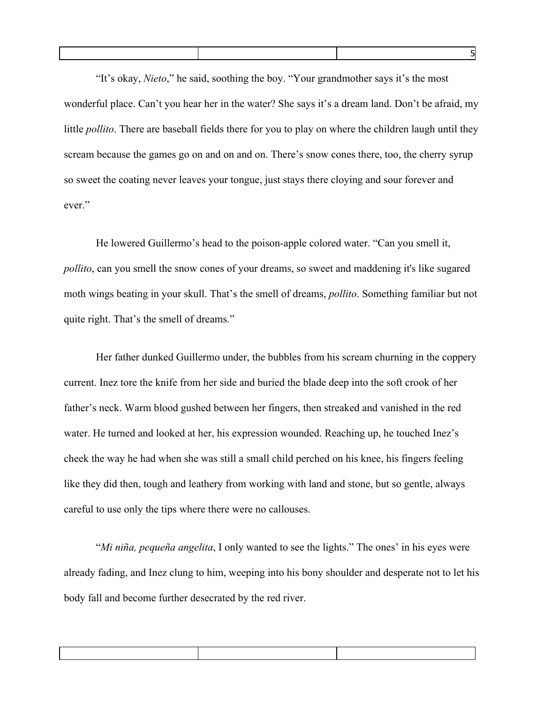"It's okay, *Nieto*," he said, soothing the boy. "Your grandmother says it's the most wonderful place. Can't you hear her in the water? She says it's a dream land. Don't be afraid, my little *pollito*. There are baseball fields there for you to play on where the children laugh until they scream because the games go on and on and on. There's snow cones there, too, the cherry syrup so sweet the coating never leaves your tongue, just stays there cloying and sour forever and ever."

He lowered Guillermo's head to the poison-apple colored water. "Can you smell it, *pollito*, can you smell the snow cones of your dreams, so sweet and maddening it's like sugared moth wings beating in your skull. That's the smell of dreams, *pollito*. Something familiar but not quite right. That's the smell of dreams."

Her father dunked Guillermo under, the bubbles from his scream churning in the coppery current. Inez tore the knife from her side and buried the blade deep into the soft crook of her father's neck. Warm blood gushed between her fingers, then streaked and vanished in the red water. He turned and looked at her, his expression wounded. Reaching up, he touched Inez's cheek the way he had when she was still a small child perched on his knee, his fingers feeling like they did then, tough and leathery from working with land and stone, but so gentle, always careful to use only the tips where there were no callouses.

"*Mi niña, pequeña angelita*, I only wanted to see the lights." The ones' in his eyes were already fading, and Inez clung to him, weeping into his bony shoulder and desperate not to let his body fall and become further desecrated by the red river.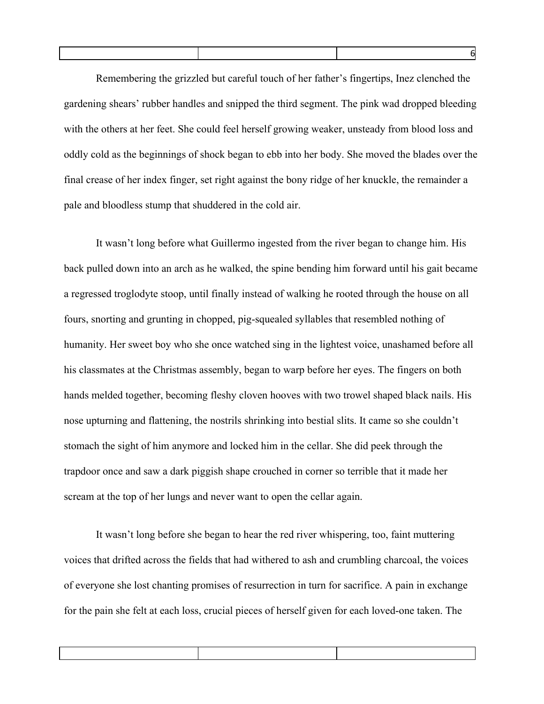Remembering the grizzled but careful touch of her father's fingertips, Inez clenched the gardening shears' rubber handles and snipped the third segment. The pink wad dropped bleeding with the others at her feet. She could feel herself growing weaker, unsteady from blood loss and oddly cold as the beginnings of shock began to ebb into her body. She moved the blades over the final crease of her index finger, set right against the bony ridge of her knuckle, the remainder a pale and bloodless stump that shuddered in the cold air.

It wasn't long before what Guillermo ingested from the river began to change him. His back pulled down into an arch as he walked, the spine bending him forward until his gait became a regressed troglodyte stoop, until finally instead of walking he rooted through the house on all fours, snorting and grunting in chopped, pig-squealed syllables that resembled nothing of humanity. Her sweet boy who she once watched sing in the lightest voice, unashamed before all his classmates at the Christmas assembly, began to warp before her eyes. The fingers on both hands melded together, becoming fleshy cloven hooves with two trowel shaped black nails. His nose upturning and flattening, the nostrils shrinking into bestial slits. It came so she couldn't stomach the sight of him anymore and locked him in the cellar. She did peek through the trapdoor once and saw a dark piggish shape crouched in corner so terrible that it made her scream at the top of her lungs and never want to open the cellar again.

It wasn't long before she began to hear the red river whispering, too, faint muttering voices that drifted across the fields that had withered to ash and crumbling charcoal, the voices of everyone she lost chanting promises of resurrection in turn for sacrifice. A pain in exchange for the pain she felt at each loss, crucial pieces of herself given for each loved-one taken. The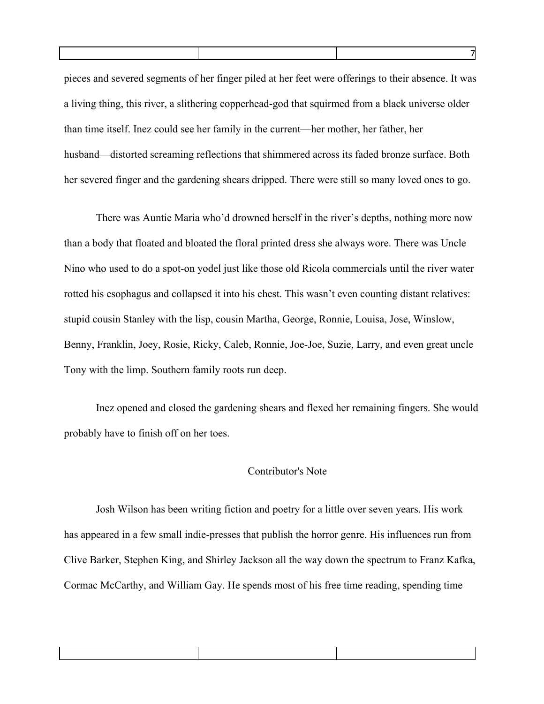| pieces and severed segments of her finger piled at her feet were offerings to their absence. It was |
|-----------------------------------------------------------------------------------------------------|
| a living thing, this river, a slithering copperhead-god that squirmed from a black universe older   |
| than time itself. Inez could see her family in the current—her mother, her father, her              |
| husband—distorted screaming reflections that shimmered across its faded bronze surface. Both        |
| her severed finger and the gardening shears dripped. There were still so many loved ones to go.     |

There was Auntie Maria who'd drowned herself in the river's depths, nothing more now than a body that floated and bloated the floral printed dress she always wore. There was Uncle Nino who used to do a spot-on yodel just like those old Ricola commercials until the river water rotted his esophagus and collapsed it into his chest. This wasn't even counting distant relatives: stupid cousin Stanley with the lisp, cousin Martha, George, Ronnie, Louisa, Jose, Winslow, Benny, Franklin, Joey, Rosie, Ricky, Caleb, Ronnie, Joe-Joe, Suzie, Larry, and even great uncle Tony with the limp. Southern family roots run deep.

Inez opened and closed the gardening shears and flexed her remaining fingers. She would probably have to finish off on her toes.

## Contributor's Note

Josh Wilson has been writing fiction and poetry for a little over seven years. His work has appeared in a few small indie-presses that publish the horror genre. His influences run from Clive Barker, Stephen King, and Shirley Jackson all the way down the spectrum to Franz Kafka, Cormac McCarthy, and William Gay. He spends most of his free time reading, spending time